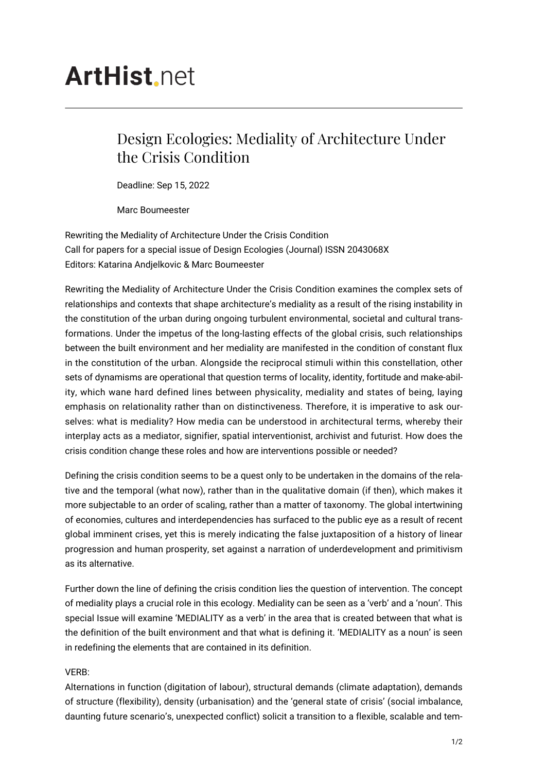# **ArtHist** net

# Design Ecologies: Mediality of Architecture Under the Crisis Condition

Deadline: Sep 15, 2022

Marc Boumeester

Rewriting the Mediality of Architecture Under the Crisis Condition Call for papers for a special issue of Design Ecologies (Journal) ISSN 2043068X Editors: Katarina Andjelkovic & Marc Boumeester

Rewriting the Mediality of Architecture Under the Crisis Condition examines the complex sets of relationships and contexts that shape architecture's mediality as a result of the rising instability in the constitution of the urban during ongoing turbulent environmental, societal and cultural transformations. Under the impetus of the long-lasting effects of the global crisis, such relationships between the built environment and her mediality are manifested in the condition of constant flux in the constitution of the urban. Alongside the reciprocal stimuli within this constellation, other sets of dynamisms are operational that question terms of locality, identity, fortitude and make-ability, which wane hard defined lines between physicality, mediality and states of being, laying emphasis on relationality rather than on distinctiveness. Therefore, it is imperative to ask ourselves: what is mediality? How media can be understood in architectural terms, whereby their interplay acts as a mediator, signifier, spatial interventionist, archivist and futurist. How does the crisis condition change these roles and how are interventions possible or needed?

Defining the crisis condition seems to be a quest only to be undertaken in the domains of the relative and the temporal (what now), rather than in the qualitative domain (if then), which makes it more subjectable to an order of scaling, rather than a matter of taxonomy. The global intertwining of economies, cultures and interdependencies has surfaced to the public eye as a result of recent global imminent crises, yet this is merely indicating the false juxtaposition of a history of linear progression and human prosperity, set against a narration of underdevelopment and primitivism as its alternative.

Further down the line of defining the crisis condition lies the question of intervention. The concept of mediality plays a crucial role in this ecology. Mediality can be seen as a 'verb' and a 'noun'. This special Issue will examine 'MEDIALITY as a verb' in the area that is created between that what is the definition of the built environment and that what is defining it. 'MEDIALITY as a noun' is seen in redefining the elements that are contained in its definition.

## VERB:

Alternations in function (digitation of labour), structural demands (climate adaptation), demands of structure (flexibility), density (urbanisation) and the 'general state of crisis' (social imbalance, daunting future scenario's, unexpected conflict) solicit a transition to a flexible, scalable and tem